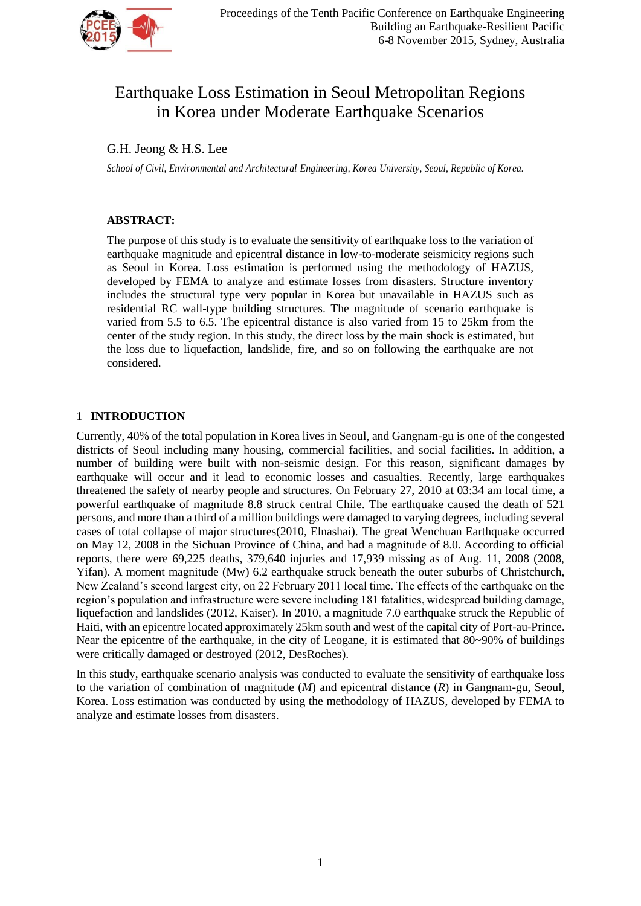

# Earthquake Loss Estimation in Seoul Metropolitan Regions in Korea under Moderate Earthquake Scenarios

# G.H. Jeong & H.S. Lee

*School of Civil, Environmental and Architectural Engineering, Korea University, Seoul, Republic of Korea.*

# **ABSTRACT:**

The purpose of this study is to evaluate the sensitivity of earthquake loss to the variation of earthquake magnitude and epicentral distance in low-to-moderate seismicity regions such as Seoul in Korea. Loss estimation is performed using the methodology of HAZUS, developed by FEMA to analyze and estimate losses from disasters. Structure inventory includes the structural type very popular in Korea but unavailable in HAZUS such as residential RC wall-type building structures. The magnitude of scenario earthquake is varied from 5.5 to 6.5. The epicentral distance is also varied from 15 to 25km from the center of the study region. In this study, the direct loss by the main shock is estimated, but the loss due to liquefaction, landslide, fire, and so on following the earthquake are not considered.

## 1 **INTRODUCTION**

Currently, 40% of the total population in Korea lives in Seoul, and Gangnam-gu is one of the congested districts of Seoul including many housing, commercial facilities, and social facilities. In addition, a number of building were built with non-seismic design. For this reason, significant damages by earthquake will occur and it lead to economic losses and casualties. Recently, large earthquakes threatened the safety of nearby people and structures. On February 27, 2010 at 03:34 am local time, a powerful earthquake of magnitude 8.8 struck central Chile. The earthquake caused the death of 521 persons, and more than a third of a million buildings were damaged to varying degrees, including several cases of total collapse of major structures(2010, Elnashai). The great Wenchuan Earthquake occurred on May 12, 2008 in the Sichuan Province of China, and had a magnitude of 8.0. According to official reports, there were 69,225 deaths, 379,640 injuries and 17,939 missing as of Aug. 11, 2008 (2008, Yifan). A moment magnitude (Mw) 6.2 earthquake struck beneath the outer suburbs of Christchurch, New Zealand's second largest city, on 22 February 2011 local time. The effects of the earthquake on the region's population and infrastructure were severe including 181 fatalities, widespread building damage, liquefaction and landslides (2012, Kaiser). In 2010, a magnitude 7.0 earthquake struck the Republic of Haiti, with an epicentre located approximately 25km south and west of the capital city of Port-au-Prince. Near the epicentre of the earthquake, in the city of Leogane, it is estimated that 80~90% of buildings were critically damaged or destroyed (2012, DesRoches).

In this study, earthquake scenario analysis was conducted to evaluate the sensitivity of earthquake loss to the variation of combination of magnitude (*M*) and epicentral distance (*R*) in Gangnam-gu, Seoul, Korea. Loss estimation was conducted by using the methodology of HAZUS, developed by FEMA to analyze and estimate losses from disasters.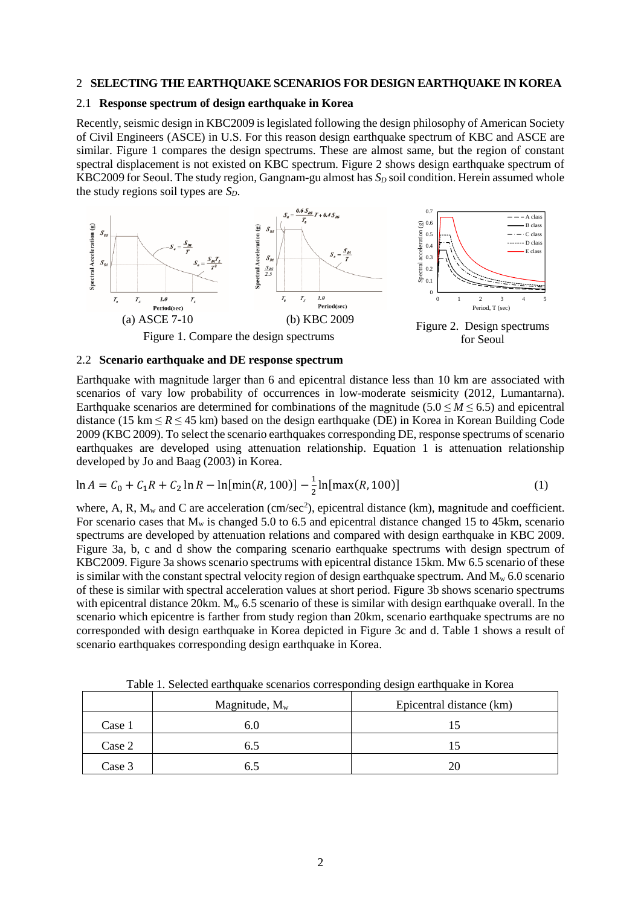#### 2 **SELECTING THE EARTHQUAKE SCENARIOS FOR DESIGN EARTHQUAKE IN KOREA**

## 2.1 **Response spectrum of design earthquake in Korea**

Recently, seismic design in KBC2009 is legislated following the design philosophy of American Society of Civil Engineers (ASCE) in U.S. For this reason design earthquake spectrum of KBC and ASCE are similar. Figure 1 compares the design spectrums. These are almost same, but the region of constant spectral displacement is not existed on KBC spectrum. Figure 2 shows design earthquake spectrum of KBC2009 for Seoul. The study region, Gangnam-gu almost has  $S<sub>D</sub>$  soil condition. Herein assumed whole the study regions soil types are *SD*.



#### 2.2 **Scenario earthquake and DE response spectrum**

Earthquake with magnitude larger than 6 and epicentral distance less than 10 km are associated with scenarios of vary low probability of occurrences in low-moderate seismicity (2012, Lumantarna). Earthquake scenarios are determined for combinations of the magnitude  $(5.0 \le M \le 6.5)$  and epicentral distance (15 km  $\leq$  *R*  $\leq$  45 km) based on the design earthquake (DE) in Korea in Korean Building Code 2009 (KBC 2009). To select the scenario earthquakes corresponding DE, response spectrums of scenario earthquakes are developed using attenuation relationship. Equation 1 is attenuation relationship developed by Jo and Baag (2003) in Korea.

$$
\ln A = C_0 + C_1 R + C_2 \ln R - \ln[\min(R, 100)] - \frac{1}{2} \ln[\max(R, 100)] \tag{1}
$$

where, A, R,  $M_w$  and C are acceleration (cm/sec<sup>2</sup>), epicentral distance (km), magnitude and coefficient. For scenario cases that  $M_w$  is changed 5.0 to 6.5 and epicentral distance changed 15 to 45km, scenario spectrums are developed by attenuation relations and compared with design earthquake in KBC 2009. Figure 3a, b, c and d show the comparing scenario earthquake spectrums with design spectrum of KBC2009. Figure 3a shows scenario spectrums with epicentral distance 15km. Mw 6.5 scenario of these is similar with the constant spectral velocity region of design earthquake spectrum. And  $M_w$  6.0 scenario of these is similar with spectral acceleration values at short period. Figure 3b shows scenario spectrums with epicentral distance 20km.  $M_w$  6.5 scenario of these is similar with design earthquake overall. In the scenario which epicentre is farther from study region than 20km, scenario earthquake spectrums are no corresponded with design earthquake in Korea depicted in Figure 3c and d. Table 1 shows a result of scenario earthquakes corresponding design earthquake in Korea.

|        | Twelv II Service eming sommission corresponding acordinate in residue<br>Magnitude, $M_w$ | Epicentral distance (km) |  |  |  |  |
|--------|-------------------------------------------------------------------------------------------|--------------------------|--|--|--|--|
| Case 1 | b.U                                                                                       |                          |  |  |  |  |
| Case 2 | 6.5                                                                                       |                          |  |  |  |  |
| Case 3 |                                                                                           | 20                       |  |  |  |  |

Table 1. Selected earthquake scenarios corresponding design earthquake in Korea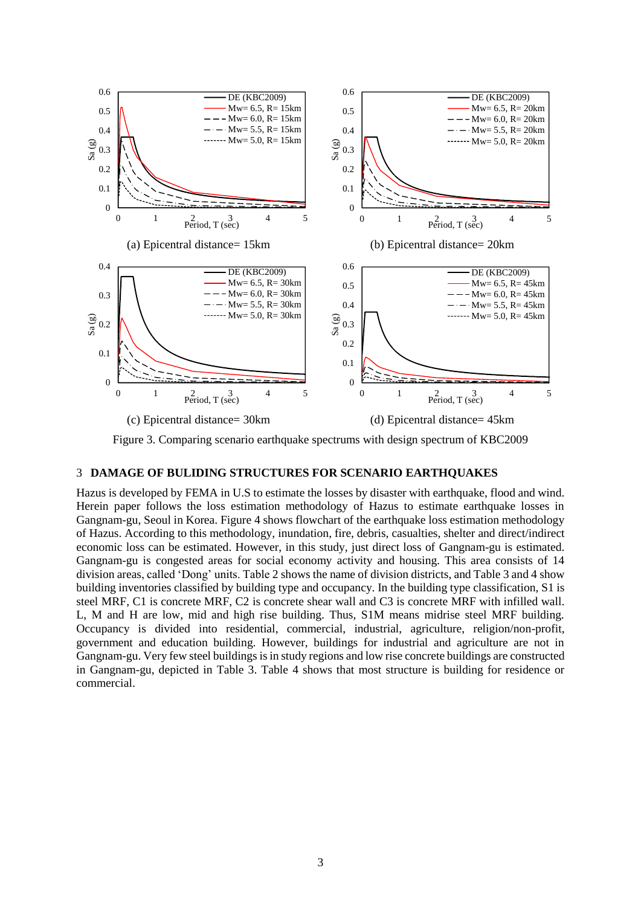

Figure 3. Comparing scenario earthquake spectrums with design spectrum of KBC2009

#### 3 **DAMAGE OF BULIDING STRUCTURES FOR SCENARIO EARTHQUAKES**

Hazus is developed by FEMA in U.S to estimate the losses by disaster with earthquake, flood and wind. Herein paper follows the loss estimation methodology of Hazus to estimate earthquake losses in Gangnam-gu, Seoul in Korea. Figure 4 shows flowchart of the earthquake loss estimation methodology of Hazus. According to this methodology, inundation, fire, debris, casualties, shelter and direct/indirect economic loss can be estimated. However, in this study, just direct loss of Gangnam-gu is estimated. Gangnam-gu is congested areas for social economy activity and housing. This area consists of 14 division areas, called 'Dong' units. Table 2 shows the name of division districts, and Table 3 and 4 show building inventories classified by building type and occupancy. In the building type classification, S1 is steel MRF, C1 is concrete MRF, C2 is concrete shear wall and C3 is concrete MRF with infilled wall. L, M and H are low, mid and high rise building. Thus, S1M means midrise steel MRF building. Occupancy is divided into residential, commercial, industrial, agriculture, religion/non-profit, government and education building. However, buildings for industrial and agriculture are not in Gangnam-gu. Very few steel buildings isin study regions and low rise concrete buildings are constructed in Gangnam-gu, depicted in Table 3. Table 4 shows that most structure is building for residence or commercial.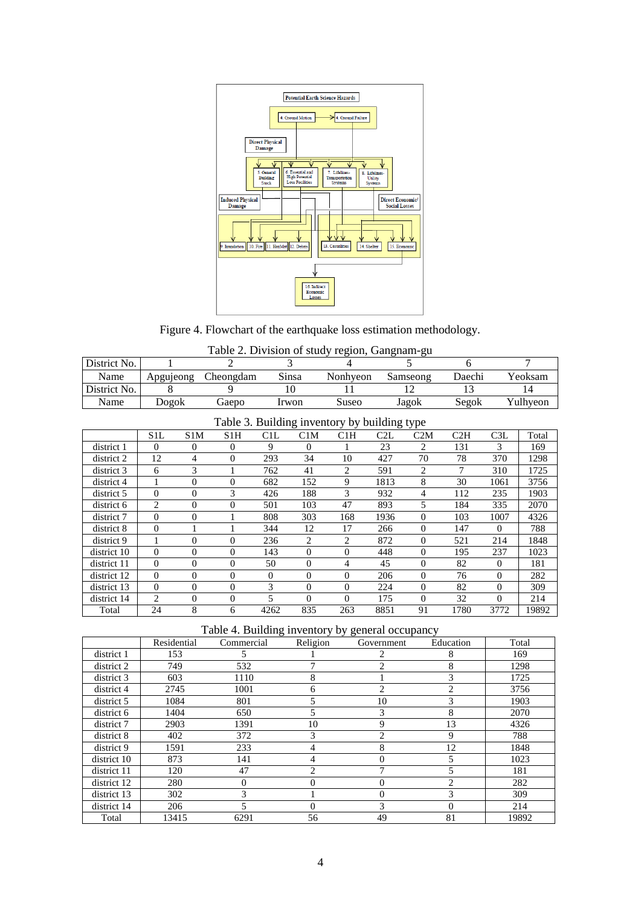

Figure 4. Flowchart of the earthquake loss estimation methodology.

| Table 2. Division of study region, Gangnam-gu |
|-----------------------------------------------|
|-----------------------------------------------|

| District No.                                 |                |                  | $\overline{2}$ |          | 3        | 5<br>4         |      |                | 6      |          | 7        |  |
|----------------------------------------------|----------------|------------------|----------------|----------|----------|----------------|------|----------------|--------|----------|----------|--|
| Name                                         | Apgujeong      |                  | Cheongdam      | Sinsa    |          | Nonhyeon       |      | Samseong       | Daechi |          | Yeoksam  |  |
| District No.                                 | 8              |                  | 9              | 10       |          | 11             |      | 12             | 13     |          | 14       |  |
| Name                                         | Dogok          |                  | Gaepo          | Irwon    |          | Suseo          |      | Jagok          | Segok  |          | Yulhyeon |  |
| Table 3. Building inventory by building type |                |                  |                |          |          |                |      |                |        |          |          |  |
|                                              | S1L            | S1M              | S1H            | C1L      | C1M      | C1H            | C2L  | C2M            | C2H    | C3L      | Total    |  |
| district 1                                   | $\Omega$       | $\Omega$         | $\Omega$       | 9        | $\Omega$ |                | 23   | $\overline{c}$ | 131    | 3        | 169      |  |
| district 2                                   | 12             | 4                | 0              | 293      | 34       | 10             | 427  | 70             | 78     | 370      | 1298     |  |
| district 3                                   | 6              | 3                |                | 762      | 41       | $\overline{2}$ | 591  | 2              | 7      | 310      | 1725     |  |
| district 4                                   |                | $\theta$         | $\theta$       | 682      | 152      | 9              | 1813 | 8              | 30     | 1061     | 3756     |  |
| district 5                                   | $\Omega$       | $\Omega$         | 3              | 426      | 188      | 3              | 932  | 4              | 112    | 235      | 1903     |  |
| district 6                                   | $\overline{2}$ | $\Omega$         | 0              | 501      | 103      | 47             | 893  | 5              | 184    | 335      | 2070     |  |
| district 7                                   | $\Omega$       | $\Omega$         |                | 808      | 303      | 168            | 1936 | $\Omega$       | 103    | 1007     | 4326     |  |
| district 8                                   | $\Omega$       |                  |                | 344      | 12       | 17             | 266  | $\overline{0}$ | 147    | $\Omega$ | 788      |  |
| district 9                                   | 1              | $\boldsymbol{0}$ | 0              | 236      | 2        | 2              | 872  | $\Omega$       | 521    | 214      | 1848     |  |
| district 10                                  | $\Omega$       | $\theta$         | $\Omega$       | 143      | $\Omega$ | $\Omega$       | 448  | $\Omega$       | 195    | 237      | 1023     |  |
| district 11                                  | $\Omega$       | $\Omega$         | $\Omega$       | 50       | $\Omega$ | 4              | 45   | $\Omega$       | 82     | $\Omega$ | 181      |  |
| district 12                                  | $\Omega$       | $\Omega$         | $\Omega$       | $\Omega$ | $\Omega$ | $\Omega$       | 206  | $\Omega$       | 76     | $\Omega$ | 282      |  |
| district 13                                  | $\Omega$       | $\Omega$         | $\Omega$       | 3        | $\Omega$ | $\theta$       | 224  | $\Omega$       | 82     | $\Omega$ | 309      |  |
| district 14                                  | $\overline{c}$ | $\overline{0}$   | $\overline{0}$ | 5        | $\Omega$ | $\theta$       | 175  | $\Omega$       | 32     | $\Omega$ | 214      |  |
| Total                                        | 24             | 8                | 6              | 4262     | 835      | 263            | 8851 | 91             | 1780   | 3772     | 19892    |  |

Table 4. Building inventory by general occupancy

|             | Residential | Commercial | Religion      | Government                  | Education      | Total |
|-------------|-------------|------------|---------------|-----------------------------|----------------|-------|
| district 1  | 153         | 5          |               |                             | 8              | 169   |
| district 2  | 749         | 532        | 7             | $\mathcal{D}_{\mathcal{L}}$ | 8              | 1298  |
| district 3  | 603         | 1110       | 8             |                             | 3              | 1725  |
| district 4  | 2745        | 1001       | 6             | 2                           | $\overline{c}$ | 3756  |
| district 5  | 1084        | 801        | 5             | 10                          | 3              | 1903  |
| district 6  | 1404        | 650        | 5             | 3                           | 8              | 2070  |
| district 7  | 2903        | 1391       | 10            | 9                           | 13             | 4326  |
| district 8  | 402         | 372        | 3             | $\mathcal{D}_{\mathcal{L}}$ | 9              | 788   |
| district 9  | 1591        | 233        | 4             | 8                           | 12             | 1848  |
| district 10 | 873         | 141        | 4             | 0                           | 5              | 1023  |
| district 11 | 120         | 47         | $\mathcal{L}$ |                             | 5              | 181   |
| district 12 | 280         | 0          | $\Omega$      |                             | $\mathfrak{D}$ | 282   |
| district 13 | 302         | 3          |               | 0                           | 3              | 309   |
| district 14 | 206         |            | $\Omega$      | $\mathbf{3}$                | $\Omega$       | 214   |
| Total       | 13415       | 6291       | 56            | 49                          | 81             | 19892 |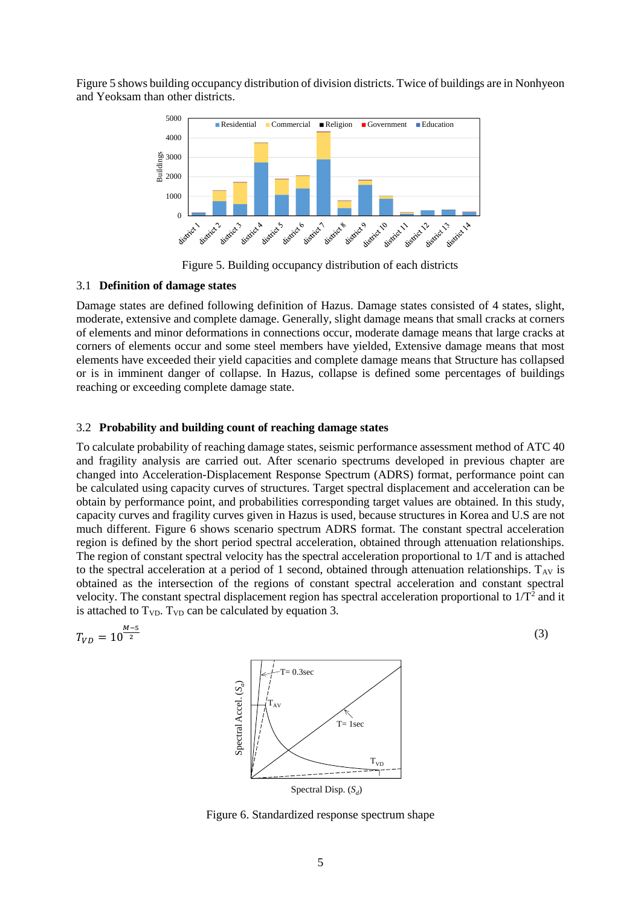Figure 5 shows building occupancy distribution of division districts. Twice of buildings are in Nonhyeon and Yeoksam than other districts.



Figure 5. Building occupancy distribution of each districts

# 3.1 **Definition of damage states**

Damage states are defined following definition of Hazus. Damage states consisted of 4 states, slight, moderate, extensive and complete damage. Generally, slight damage means that small cracks at corners of elements and minor deformations in connections occur, moderate damage means that large cracks at corners of elements occur and some steel members have yielded, Extensive damage means that most elements have exceeded their yield capacities and complete damage means that Structure has collapsed or is in imminent danger of collapse. In Hazus, collapse is defined some percentages of buildings reaching or exceeding complete damage state.

# 3.2 **Probability and building count of reaching damage states**

To calculate probability of reaching damage states, seismic performance assessment method of ATC 40 and fragility analysis are carried out. After scenario spectrums developed in previous chapter are changed into Acceleration-Displacement Response Spectrum (ADRS) format, performance point can be calculated using capacity curves of structures. Target spectral displacement and acceleration can be obtain by performance point, and probabilities corresponding target values are obtained. In this study, capacity curves and fragility curves given in Hazus is used, because structures in Korea and U.S are not much different. Figure 6 shows scenario spectrum ADRS format. The constant spectral acceleration region is defined by the short period spectral acceleration, obtained through attenuation relationships. The region of constant spectral velocity has the spectral acceleration proportional to 1/T and is attached to the spectral acceleration at a period of 1 second, obtained through attenuation relationships.  $T_{AV}$  is obtained as the intersection of the regions of constant spectral acceleration and constant spectral velocity. The constant spectral displacement region has spectral acceleration proportional to  $1/T<sup>2</sup>$  and it is attached to  $T_{VD}$ .  $T_{VD}$  can be calculated by equation 3.

$$
T_{VD} = 10^{\frac{M-5}{2}}
$$
 (3)



Figure 6. Standardized response spectrum shape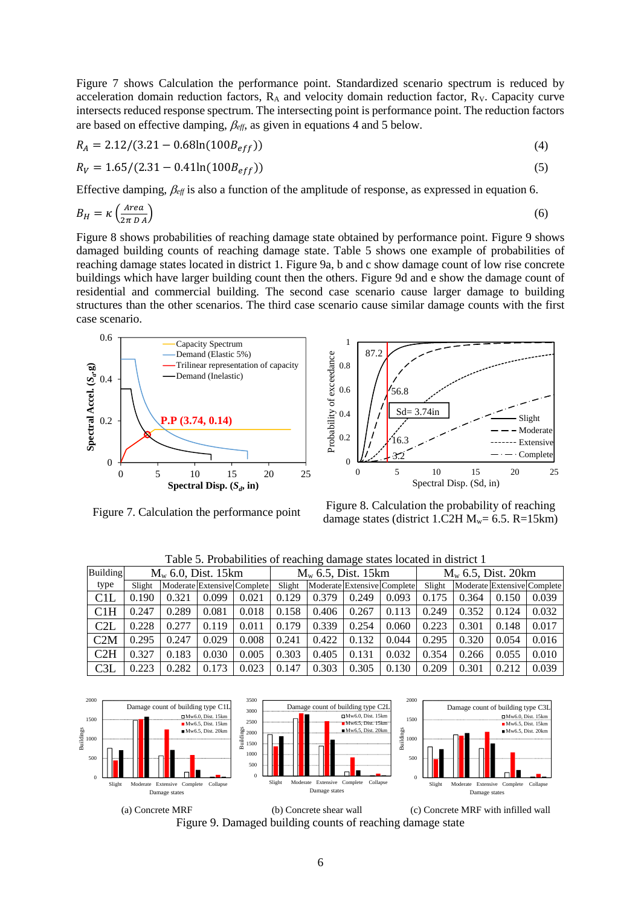Figure 7 shows Calculation the performance point. Standardized scenario spectrum is reduced by acceleration domain reduction factors,  $R_A$  and velocity domain reduction factor,  $R_V$ . Capacity curve intersects reduced response spectrum. The intersecting point is performance point. The reduction factors are based on effective damping,  $\beta_{\text{eff}}$ , as given in equations 4 and 5 below.

$$
R_A = 2.12/(3.21 - 0.68\ln(100B_{eff}))\tag{4}
$$

$$
R_V = 1.65/(2.31 - 0.41\ln(100B_{eff}))
$$
\n(5)

Effective damping,  $\beta_{\text{eff}}$  is also a function of the amplitude of response, as expressed in equation 6.

$$
B_H = \kappa \left(\frac{\text{Area}}{2\pi\,D\,A}\right) \tag{6}
$$

Figure 8 shows probabilities of reaching damage state obtained by performance point. Figure 9 shows damaged building counts of reaching damage state. Table 5 shows one example of probabilities of reaching damage states located in district 1. Figure 9a, b and c show damage count of low rise concrete buildings which have larger building count then the others. Figure 9d and e show the damage count of residential and commercial building. The second case scenario cause larger damage to building structures than the other scenarios. The third case scenario cause similar damage counts with the first case scenario.

1



87.2 Probability of exceedance Probability of exceedance 0.8 0.6 56.8  $Sd= 3.74$ in 0.4 Slight Moderate 0.2 ---- Extensive 16.3  $\cdot$  - Complete 3.2 0 0 5 10 15 20 25 Spectral Disp. (Sd, in)

Figure 7. Calculation the performance point Figure 8. Calculation the probability of reaching damage states (district 1.C2H  $M_w = 6.5$ . R=15km)

| Building |        | $M_w$ 6.0, Dist. 15 km |       |                             |        | $M_w$ 6.5, Dist. 15km |       |                             | $M_w$ 6.5, Dist. 20 km |                             |       |       |
|----------|--------|------------------------|-------|-----------------------------|--------|-----------------------|-------|-----------------------------|------------------------|-----------------------------|-------|-------|
| type     | Slight |                        |       | Moderate Extensive Complete | Slight |                       |       | Moderate Extensive Complete | Slight                 | Moderate Extensive Complete |       |       |
| C1L      | 0.190  | 0.321                  | 0.099 | 0.021                       | 0.129  | 0.379                 | 0.249 | 0.093                       | 0.175                  | 0.364                       | 0.150 | 0.039 |
| C1H      | 0.247  | 0.289                  | 0.081 | 0.018                       | 0.158  | 0.406                 | 0.267 | 0.113                       | 0.249                  | 0.352                       | 0.124 | 0.032 |
| C2L      | 0.228  | 0.277                  | 0.119 | 0.011                       | 0.179  | 0.339                 | 0.254 | 0.060                       | 0.223                  | 0.301                       | 0.148 | 0.017 |
| C2M      | 0.295  | 0.247                  | 0.029 | 0.008                       | 0.241  | 0.422                 | 0.132 | 0.044                       | 0.295                  | 0.320                       | 0.054 | 0.016 |
| C2H      | 0.327  | 0.183                  | 0.030 | 0.005                       | 0.303  | 0.405                 | 0.131 | 0.032                       | 0.354                  | 0.266                       | 0.055 | 0.010 |
| C3L      | 0.223  | 0.282                  | 0.173 | 0.023                       | 0.147  | 0.303                 | 0.305 | 0.130                       | 0.209                  | 0.301                       | 0.212 | 0.039 |

Table 5. Probabilities of reaching damage states located in district 1



(a) Concrete MRF (b) Concrete shear wall (c) Concrete MRF with infilled wall Figure 9. Damaged building counts of reaching damage state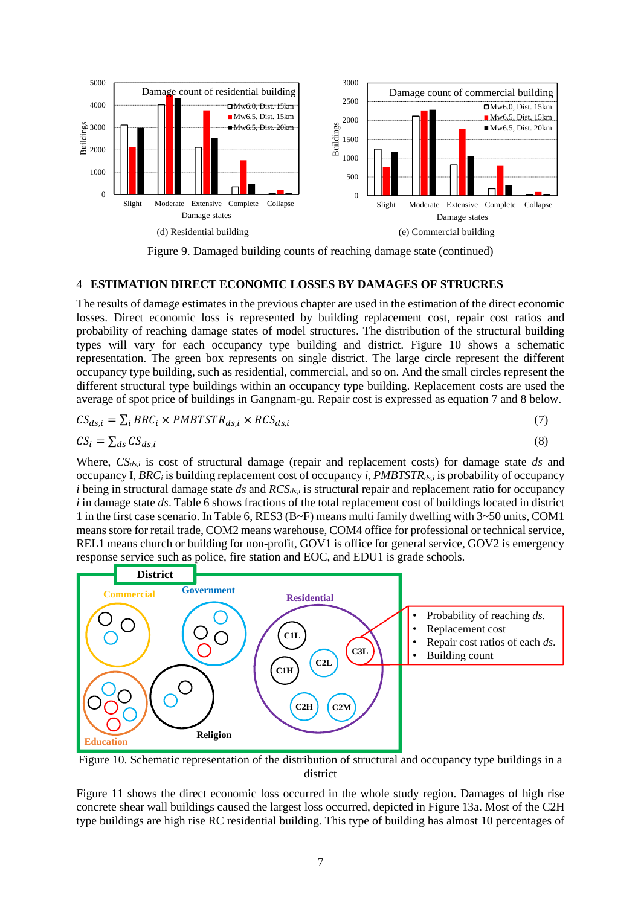

Figure 9. Damaged building counts of reaching damage state (continued)

## 4 **ESTIMATION DIRECT ECONOMIC LOSSES BY DAMAGES OF STRUCRES**

The results of damage estimates in the previous chapter are used in the estimation of the direct economic losses. Direct economic loss is represented by building replacement cost, repair cost ratios and probability of reaching damage states of model structures. The distribution of the structural building types will vary for each occupancy type building and district. Figure 10 shows a schematic representation. The green box represents on single district. The large circle represent the different occupancy type building, such as residential, commercial, and so on. And the small circles represent the different structural type buildings within an occupancy type building. Replacement costs are used the average of spot price of buildings in Gangnam-gu. Repair cost is expressed as equation 7 and 8 below.

$$
CS_{ds,i} = \sum_{i} BRC_i \times PMBTSTR_{ds,i} \times RCS_{ds,i}
$$
\n
$$
(7)
$$

$$
CS_i = \sum_{ds} CS_{ds,i} \tag{8}
$$

Where, *CSds,i* is cost of structural damage (repair and replacement costs) for damage state *ds* and occupancy I, *BRC<sup>i</sup>* is building replacement cost of occupancy *i*, *PMBTSTRds,i* is probability of occupancy *i* being in structural damage state *ds* and *RCSds,i* is structural repair and replacement ratio for occupancy *i* in damage state *ds*. Table 6 shows fractions of the total replacement cost of buildings located in district 1 in the first case scenario. In Table 6, RES3 (B $\sim$ F) means multi family dwelling with 3 $\sim$ 50 units, COM1 means store for retail trade, COM2 means warehouse, COM4 office for professional or technical service, REL1 means church or building for non-profit, GOV1 is office for general service, GOV2 is emergency response service such as police, fire station and EOC, and EDU1 is grade schools.



Figure 10. Schematic representation of the distribution of structural and occupancy type buildings in a district

Figure 11 shows the direct economic loss occurred in the whole study region. Damages of high rise concrete shear wall buildings caused the largest loss occurred, depicted in Figure 13a. Most of the C2H type buildings are high rise RC residential building. This type of building has almost 10 percentages of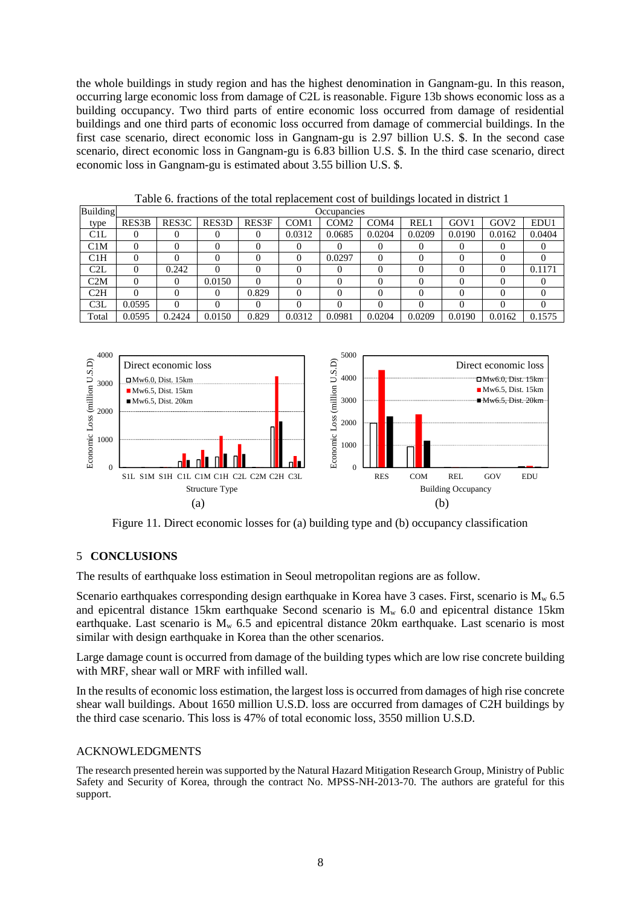the whole buildings in study region and has the highest denomination in Gangnam-gu. In this reason, occurring large economic loss from damage of C2L is reasonable. Figure 13b shows economic loss as a building occupancy. Two third parts of entire economic loss occurred from damage of residential buildings and one third parts of economic loss occurred from damage of commercial buildings. In the first case scenario, direct economic loss in Gangnam-gu is 2.97 billion U.S. \$. In the second case scenario, direct economic loss in Gangnam-gu is 6.83 billion U.S. \$. In the third case scenario, direct economic loss in Gangnam-gu is estimated about 3.55 billion U.S. \$.

| Building | Occupancies |                    |        |       |                  |                  |                  |                   |                  |                  |        |
|----------|-------------|--------------------|--------|-------|------------------|------------------|------------------|-------------------|------------------|------------------|--------|
| type     | RES3B       | RES <sub>3</sub> C | RES3D  | RES3F | COM <sub>1</sub> | COM <sub>2</sub> | COM <sub>4</sub> | REL1              | GOV <sub>1</sub> | GOV <sub>2</sub> | EDU1   |
| C1L      |             |                    |        |       | 0.0312           | 0.0685           | 0.0204           | 0.0209            | 0.0190           | 0.0162           | 0.0404 |
| C1M      |             |                    |        |       |                  |                  |                  | $\theta$          |                  |                  |        |
| C1H      |             |                    |        |       |                  | 0.0297           | $\Omega$         | 0                 |                  |                  |        |
| C2L      |             | 0.242              |        |       |                  |                  | 0                | 0                 |                  |                  | 0.1171 |
| C2M      |             |                    | 0.0150 |       |                  |                  | $\Omega$         | 0                 |                  |                  |        |
| C2H      |             |                    |        | 0.829 |                  | 0                | 0                | $\mathbf{\Omega}$ |                  |                  |        |
| C3L      | 0.0595      |                    |        |       |                  | 0                | 0                | 0                 |                  |                  |        |
| Total    | 0.0595      | 0.2424             | 0.0150 | 0.829 | 0.0312           | 0.0981           | 0.0204           | 0.0209            | 0.0190           | 0.0162           | 0.1575 |

Table 6. fractions of the total replacement cost of buildings located in district 1



Figure 11. Direct economic losses for (a) building type and (b) occupancy classification

## 5 **CONCLUSIONS**

The results of earthquake loss estimation in Seoul metropolitan regions are as follow.

Scenario earthquakes corresponding design earthquake in Korea have 3 cases. First, scenario is  $M_w$  6.5 and epicentral distance 15km earthquake Second scenario is  $M_w$  6.0 and epicentral distance 15km earthquake. Last scenario is  $M_w$  6.5 and epicentral distance 20km earthquake. Last scenario is most similar with design earthquake in Korea than the other scenarios.

Large damage count is occurred from damage of the building types which are low rise concrete building with MRF, shear wall or MRF with infilled wall.

In the results of economic loss estimation, the largest loss is occurred from damages of high rise concrete shear wall buildings. About 1650 million U.S.D. loss are occurred from damages of C2H buildings by the third case scenario. This loss is 47% of total economic loss, 3550 million U.S.D.

## ACKNOWLEDGMENTS

The research presented herein was supported by the Natural Hazard Mitigation Research Group, Ministry of Public Safety and Security of Korea, through the contract No. MPSS-NH-2013-70. The authors are grateful for this support.